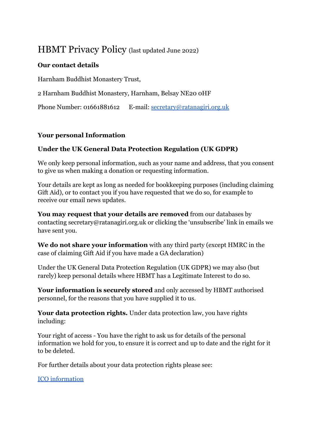## HBMT Privacy Policy (last updated June 2022)

## **Our contact details**

Harnham Buddhist Monastery Trust,

2 Harnham Buddhist Monastery, Harnham, Belsay NE20 0HF

Phone Number: 01661881612 E-mail: [secretary@ratanagiri.org.uk](mailto:secretary@ratanagiri.org.uk)

## **Your personal Information**

## **Under the UK General Data Protection Regulation (UK GDPR)**

We only keep personal information, such as your name and address, that you consent to give us when making a donation or requesting information.

Your details are kept as long as needed for bookkeeping purposes (including claiming Gift Aid), or to contact you if you have requested that we do so, for example to receive our email news updates.

**You may request that your details are removed** from our databases by contacting secretary@ratanagiri.org.uk or clicking the 'unsubscribe' link in emails we have sent you.

**We do not share your information** with any third party (except HMRC in the case of claiming Gift Aid if you have made a GA declaration)

Under the UK General Data Protection Regulation (UK GDPR) we may also (but rarely) keep personal details where HBMT has a Legitimate Interest to do so.

**Your information is securely stored** and only accessed by HBMT authorised personnel, for the reasons that you have supplied it to us.

**Your data protection rights.** Under data protection law, you have rights including:

Your right of access - You have the right to ask us for details of the personal information we hold for you, to ensure it is correct and up to date and the right for it to be deleted.

For further details about your data protection rights please see:

[ICO information](https://ico.org.uk/for-organisations/guide-to-data-protection/guide-to-the-general-data-protection-regulation-gdpr/individual-rights/)